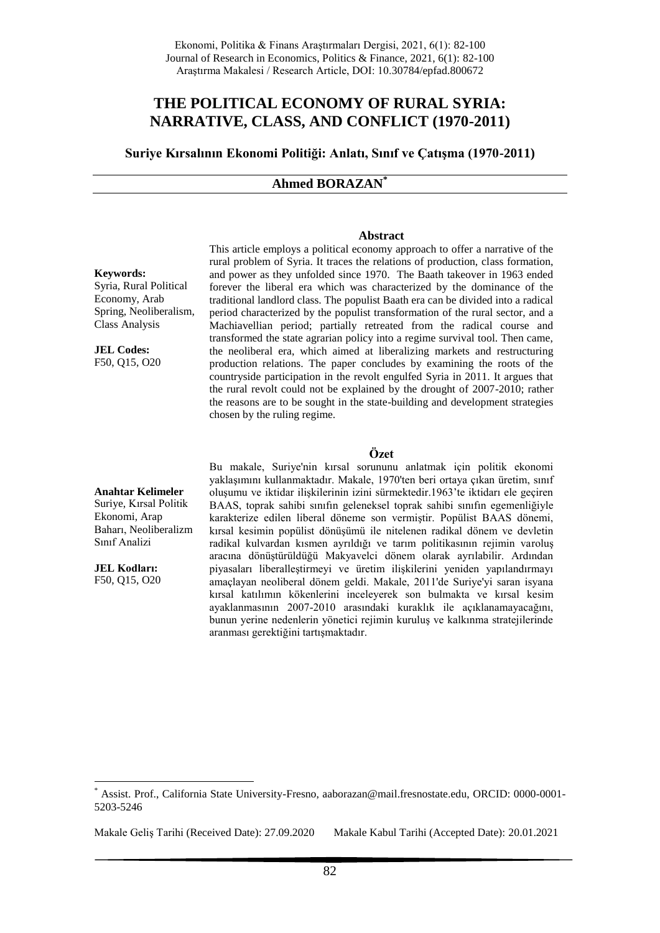# **THE POLITICAL ECONOMY OF RURAL SYRIA: NARRATIVE, CLASS, AND CONFLICT (1970-2011)**

**Suriye Kırsalının Ekonomi Politiği: Anlatı, Sınıf ve Çatışma (1970-2011)**

## **Ahmed BORAZAN\***

#### **Abstract**

### **Keywords:**

Syria, Rural Political Economy, Arab Spring, Neoliberalism, Class Analysis

**JEL Codes:** F50, Q15, O20 This article employs a political economy approach to offer a narrative of the rural problem of Syria. It traces the relations of production, class formation, and power as they unfolded since 1970. The Baath takeover in 1963 ended forever the liberal era which was characterized by the dominance of the traditional landlord class. The populist Baath era can be divided into a radical period characterized by the populist transformation of the rural sector, and a Machiavellian period; partially retreated from the radical course and transformed the state agrarian policy into a regime survival tool. Then came, the neoliberal era, which aimed at liberalizing markets and restructuring production relations. The paper concludes by examining the roots of the countryside participation in the revolt engulfed Syria in 2011. It argues that the rural revolt could not be explained by the drought of 2007-2010; rather the reasons are to be sought in the state-building and development strategies chosen by the ruling regime.

## **Özet**

**Anahtar Kelimeler** Suriye, Kırsal Politik

Ekonomi, Arap Baharı, Neoliberalizm Sınıf Analizi

**JEL Kodları:** F50, Q15, O20

1

Bu makale, Suriye'nin kırsal sorununu anlatmak için politik ekonomi yaklaşımını kullanmaktadır. Makale, 1970'ten beri ortaya çıkan üretim, sınıf oluşumu ve iktidar ilişkilerinin izini sürmektedir.1963'te iktidarı ele geçiren BAAS, toprak sahibi sınıfın geleneksel toprak sahibi sınıfın egemenliğiyle karakterize edilen liberal döneme son vermiştir. Popülist BAAS dönemi, kırsal kesimin popülist dönüşümü ile nitelenen radikal dönem ve devletin radikal kulvardan kısmen ayrıldığı ve tarım politikasının rejimin varoluş aracına dönüştürüldüğü Makyavelci dönem olarak ayrılabilir. Ardından piyasaları liberalleştirmeyi ve üretim ilişkilerini yeniden yapılandırmayı amaçlayan neoliberal dönem geldi. Makale, 2011'de Suriye'yi saran isyana kırsal katılımın kökenlerini inceleyerek son bulmakta ve kırsal kesim ayaklanmasının 2007-2010 arasındaki kuraklık ile açıklanamayacağını, bunun yerine nedenlerin yönetici rejimin kuruluş ve kalkınma stratejilerinde aranması gerektiğini tartışmaktadır.

Makale Geliş Tarihi (Received Date): 27.09.2020 Makale Kabul Tarihi (Accepted Date): 20.01.2021

<sup>\*</sup> Assist. Prof., California State University-Fresno, aaborazan@mail.fresnostate.edu, ORCID: 0000-0001- 5203-5246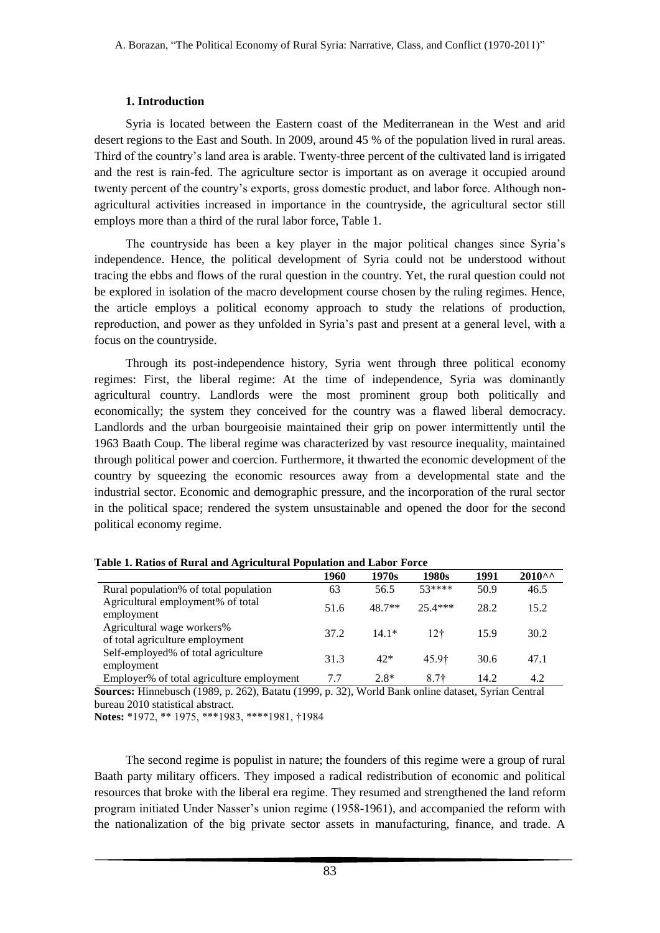# **1. Introduction**

Syria is located between the Eastern coast of the Mediterranean in the West and arid desert regions to the East and South. In 2009, around 45 % of the population lived in rural areas. Third of the country's land area is arable. Twenty-three percent of the cultivated land is irrigated and the rest is rain-fed. The agriculture sector is important as on average it occupied around twenty percent of the country's exports, gross domestic product, and labor force. Although nonagricultural activities increased in importance in the countryside, the agricultural sector still employs more than a third of the rural labor force, Table 1.

The countryside has been a key player in the major political changes since Syria's independence. Hence, the political development of Syria could not be understood without tracing the ebbs and flows of the rural question in the country. Yet, the rural question could not be explored in isolation of the macro development course chosen by the ruling regimes. Hence, the article employs a political economy approach to study the relations of production, reproduction, and power as they unfolded in Syria's past and present at a general level, with a focus on the countryside.

Through its post-independence history, Syria went through three political economy regimes: First, the liberal regime: At the time of independence, Syria was dominantly agricultural country. Landlords were the most prominent group both politically and economically; the system they conceived for the country was a flawed liberal democracy. Landlords and the urban bourgeoisie maintained their grip on power intermittently until the 1963 Baath Coup. The liberal regime was characterized by vast resource inequality, maintained through political power and coercion. Furthermore, it thwarted the economic development of the country by squeezing the economic resources away from a developmental state and the industrial sector. Economic and demographic pressure, and the incorporation of the rural sector in the political space; rendered the system unsustainable and opened the door for the second political economy regime.

|                                                               | 1960 | 1970s    | 1980s     | 1991 | $2010^{\circ}$ |
|---------------------------------------------------------------|------|----------|-----------|------|----------------|
| Rural population% of total population                         | 63   | 56.5     | $53****$  | 50.9 | 46.5           |
| Agricultural employment% of total<br>employment               | 51.6 | $48.7**$ | $25.4***$ | 28.2 | 15.2           |
| Agricultural wage workers%<br>of total agriculture employment | 37.2 | $14.1*$  | 12†       | 15.9 | 30.2           |
| Self-employed% of total agriculture<br>employment             | 31.3 | $42*$    | 45.9†     | 30.6 | 47.1           |
| Employer% of total agriculture employment                     | 7.7  | $2.8*$   | $8.7+$    | 14.2 | 4.2            |

|  | Table 1. Ratios of Rural and Agricultural Population and Labor Force |  |
|--|----------------------------------------------------------------------|--|
|  |                                                                      |  |

**Sources:** Hinnebusch (1989, p. 262), Batatu (1999, p. 32), World Bank online dataset, Syrian Central bureau 2010 statistical abstract.

**Notes:** \*1972, \*\* 1975, \*\*\*1983, \*\*\*\*1981, †1984

The second regime is populist in nature; the founders of this regime were a group of rural Baath party military officers. They imposed a radical redistribution of economic and political resources that broke with the liberal era regime. They resumed and strengthened the land reform program initiated Under Nasser's union regime (1958-1961), and accompanied the reform with the nationalization of the big private sector assets in manufacturing, finance, and trade. A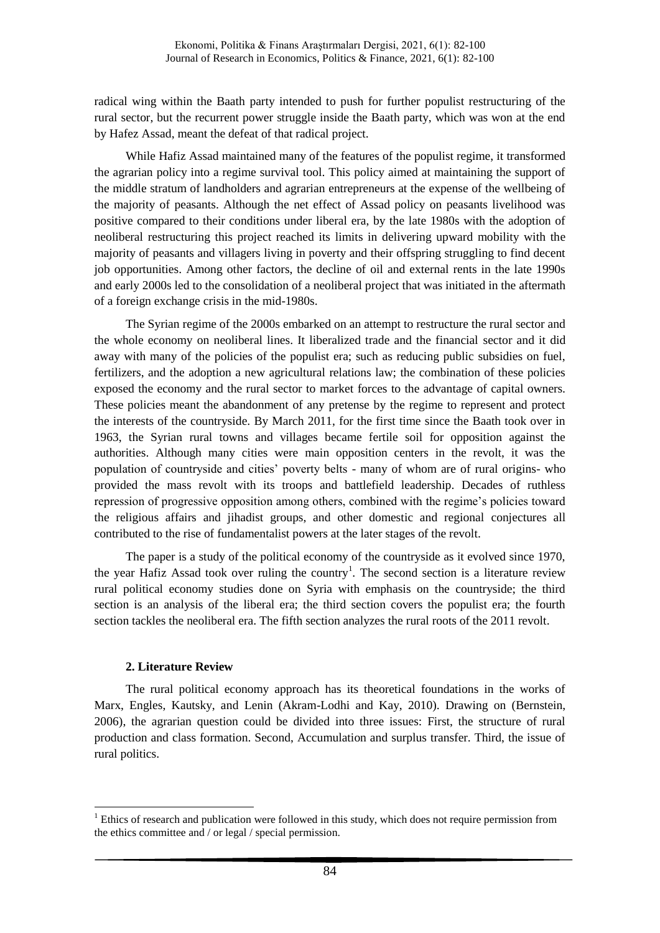radical wing within the Baath party intended to push for further populist restructuring of the rural sector, but the recurrent power struggle inside the Baath party, which was won at the end by Hafez Assad, meant the defeat of that radical project.

While Hafiz Assad maintained many of the features of the populist regime, it transformed the agrarian policy into a regime survival tool. This policy aimed at maintaining the support of the middle stratum of landholders and agrarian entrepreneurs at the expense of the wellbeing of the majority of peasants. Although the net effect of Assad policy on peasants livelihood was positive compared to their conditions under liberal era, by the late 1980s with the adoption of neoliberal restructuring this project reached its limits in delivering upward mobility with the majority of peasants and villagers living in poverty and their offspring struggling to find decent job opportunities. Among other factors, the decline of oil and external rents in the late 1990s and early 2000s led to the consolidation of a neoliberal project that was initiated in the aftermath of a foreign exchange crisis in the mid-1980s.

The Syrian regime of the 2000s embarked on an attempt to restructure the rural sector and the whole economy on neoliberal lines. It liberalized trade and the financial sector and it did away with many of the policies of the populist era; such as reducing public subsidies on fuel, fertilizers, and the adoption a new agricultural relations law; the combination of these policies exposed the economy and the rural sector to market forces to the advantage of capital owners. These policies meant the abandonment of any pretense by the regime to represent and protect the interests of the countryside. By March 2011, for the first time since the Baath took over in 1963, the Syrian rural towns and villages became fertile soil for opposition against the authorities. Although many cities were main opposition centers in the revolt, it was the population of countryside and cities' poverty belts - many of whom are of rural origins- who provided the mass revolt with its troops and battlefield leadership. Decades of ruthless repression of progressive opposition among others, combined with the regime's policies toward the religious affairs and jihadist groups, and other domestic and regional conjectures all contributed to the rise of fundamentalist powers at the later stages of the revolt.

The paper is a study of the political economy of the countryside as it evolved since 1970, the year Hafiz Assad took over ruling the country<sup>1</sup>. The second section is a literature review rural political economy studies done on Syria with emphasis on the countryside; the third section is an analysis of the liberal era; the third section covers the populist era; the fourth section tackles the neoliberal era. The fifth section analyzes the rural roots of the 2011 revolt.

# **2. Literature Review**

<u>.</u>

The rural political economy approach has its theoretical foundations in the works of Marx, Engles, Kautsky, and Lenin (Akram-Lodhi and Kay, 2010). Drawing on (Bernstein, 2006), the agrarian question could be divided into three issues: First, the structure of rural production and class formation. Second, Accumulation and surplus transfer. Third, the issue of rural politics.

 $<sup>1</sup>$  Ethics of research and publication were followed in this study, which does not require permission from</sup> the ethics committee and / or legal / special permission.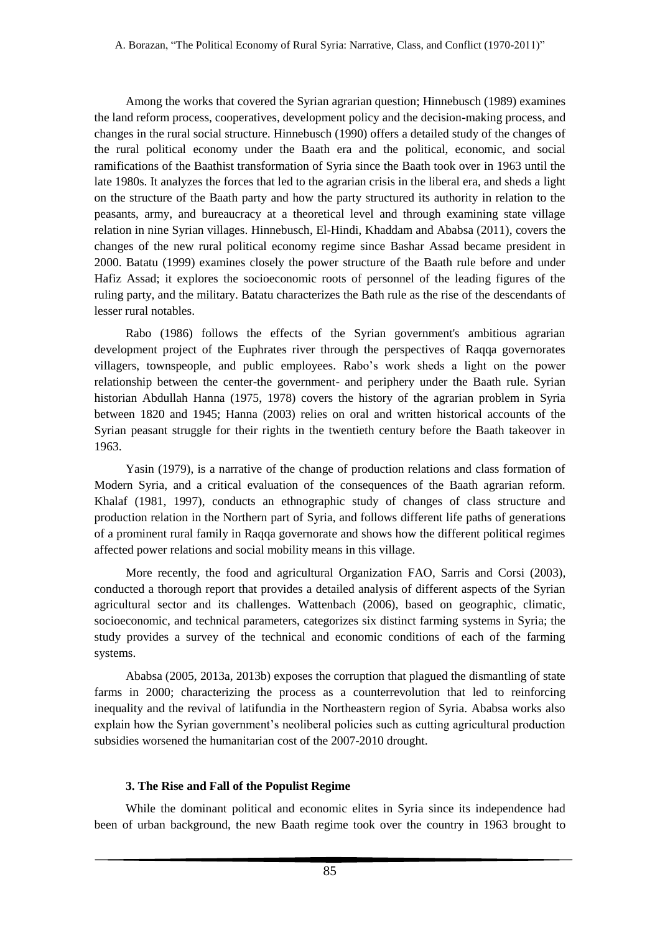Among the works that covered the Syrian agrarian question; Hinnebusch (1989) examines the land reform process, cooperatives, development policy and the decision-making process, and changes in the rural social structure. Hinnebusch (1990) offers a detailed study of the changes of the rural political economy under the Baath era and the political, economic, and social ramifications of the Baathist transformation of Syria since the Baath took over in 1963 until the late 1980s. It analyzes the forces that led to the agrarian crisis in the liberal era, and sheds a light on the structure of the Baath party and how the party structured its authority in relation to the peasants, army, and bureaucracy at a theoretical level and through examining state village relation in nine Syrian villages. Hinnebusch, El-Hindi, Khaddam and Ababsa (2011), covers the changes of the new rural political economy regime since Bashar Assad became president in 2000. Batatu (1999) examines closely the power structure of the Baath rule before and under Hafiz Assad; it explores the socioeconomic roots of personnel of the leading figures of the ruling party, and the military. Batatu characterizes the Bath rule as the rise of the descendants of lesser rural notables.

Rabo (1986) follows the effects of the Syrian government's ambitious agrarian development project of the Euphrates river through the perspectives of Raqqa governorates villagers, townspeople, and public employees. Rabo's work sheds a light on the power relationship between the center-the government- and periphery under the Baath rule. Syrian historian Abdullah Hanna (1975, 1978) covers the history of the agrarian problem in Syria between 1820 and 1945; Hanna (2003) relies on oral and written historical accounts of the Syrian peasant struggle for their rights in the twentieth century before the Baath takeover in 1963.

Yasin (1979), is a narrative of the change of production relations and class formation of Modern Syria, and a critical evaluation of the consequences of the Baath agrarian reform. Khalaf (1981, 1997), conducts an ethnographic study of changes of class structure and production relation in the Northern part of Syria, and follows different life paths of generations of a prominent rural family in Raqqa governorate and shows how the different political regimes affected power relations and social mobility means in this village.

More recently, the food and agricultural Organization FAO, Sarris and Corsi (2003), conducted a thorough report that provides a detailed analysis of different aspects of the Syrian agricultural sector and its challenges. Wattenbach (2006), based on geographic, climatic, socioeconomic, and technical parameters, categorizes six distinct farming systems in Syria; the study provides a survey of the technical and economic conditions of each of the farming systems.

Ababsa (2005, 2013a, 2013b) exposes the corruption that plagued the dismantling of state farms in 2000; characterizing the process as a counterrevolution that led to reinforcing inequality and the revival of latifundia in the Northeastern region of Syria. Ababsa works also explain how the Syrian government's neoliberal policies such as cutting agricultural production subsidies worsened the humanitarian cost of the 2007-2010 drought.

## **3. The Rise and Fall of the Populist Regime**

While the dominant political and economic elites in Syria since its independence had been of urban background, the new Baath regime took over the country in 1963 brought to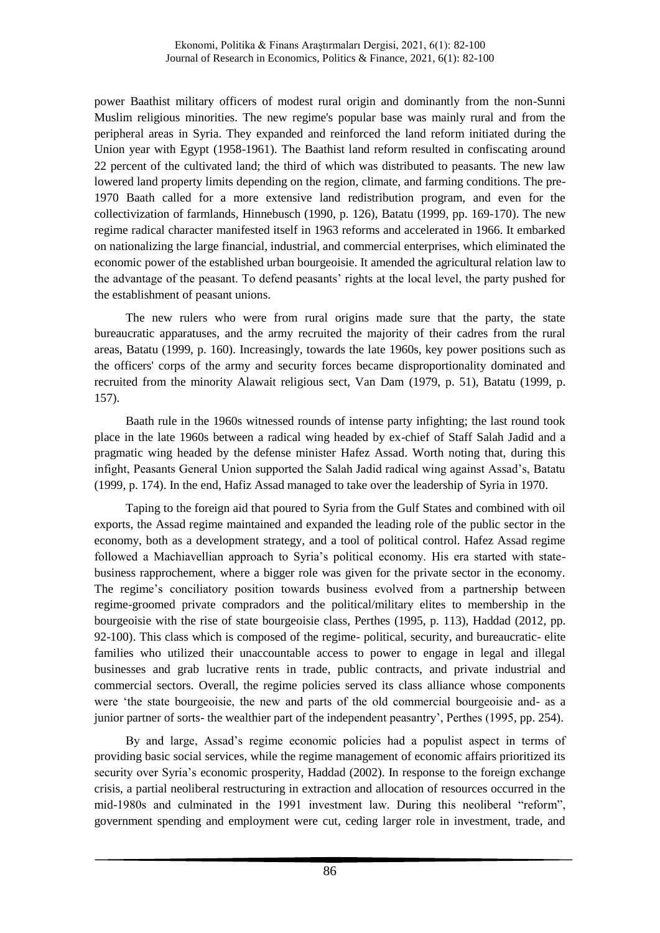power Baathist military officers of modest rural origin and dominantly from the non-Sunni Muslim religious minorities. The new regime's popular base was mainly rural and from the peripheral areas in Syria. They expanded and reinforced the land reform initiated during the Union year with Egypt (1958-1961). The Baathist land reform resulted in confiscating around 22 percent of the cultivated land; the third of which was distributed to peasants. The new law lowered land property limits depending on the region, climate, and farming conditions. The pre-1970 Baath called for a more extensive land redistribution program, and even for the collectivization of farmlands, Hinnebusch (1990, p. 126), Batatu (1999, pp. 169-170). The new regime radical character manifested itself in 1963 reforms and accelerated in 1966. It embarked on nationalizing the large financial, industrial, and commercial enterprises, which eliminated the economic power of the established urban bourgeoisie. It amended the agricultural relation law to the advantage of the peasant. To defend peasants' rights at the local level, the party pushed for the establishment of peasant unions.

The new rulers who were from rural origins made sure that the party, the state bureaucratic apparatuses, and the army recruited the majority of their cadres from the rural areas, Batatu (1999, p. 160). Increasingly, towards the late 1960s, key power positions such as the officers' corps of the army and security forces became disproportionality dominated and recruited from the minority Alawait religious sect, Van Dam (1979, p. 51), Batatu (1999, p. 157).

Baath rule in the 1960s witnessed rounds of intense party infighting; the last round took place in the late 1960s between a radical wing headed by ex-chief of Staff Salah Jadid and a pragmatic wing headed by the defense minister Hafez Assad. Worth noting that, during this infight, Peasants General Union supported the Salah Jadid radical wing against Assad's, Batatu (1999, p. 174). In the end, Hafiz Assad managed to take over the leadership of Syria in 1970.

Taping to the foreign aid that poured to Syria from the Gulf States and combined with oil exports, the Assad regime maintained and expanded the leading role of the public sector in the economy, both as a development strategy, and a tool of political control. Hafez Assad regime followed a Machiavellian approach to Syria's political economy. His era started with statebusiness rapprochement, where a bigger role was given for the private sector in the economy. The regime's conciliatory position towards business evolved from a partnership between regime-groomed private compradors and the political/military elites to membership in the bourgeoisie with the rise of state bourgeoisie class, Perthes (1995, p. 113), Haddad (2012, pp. 92-100). This class which is composed of the regime- political, security, and bureaucratic- elite families who utilized their unaccountable access to power to engage in legal and illegal businesses and grab lucrative rents in trade, public contracts, and private industrial and commercial sectors. Overall, the regime policies served its class alliance whose components were 'the state bourgeoisie, the new and parts of the old commercial bourgeoisie and- as a junior partner of sorts- the wealthier part of the independent peasantry', Perthes (1995, pp. 254).

By and large, Assad's regime economic policies had a populist aspect in terms of providing basic social services, while the regime management of economic affairs prioritized its security over Syria's economic prosperity, Haddad (2002). In response to the foreign exchange crisis, a partial neoliberal restructuring in extraction and allocation of resources occurred in the mid-1980s and culminated in the 1991 investment law. During this neoliberal "reform", government spending and employment were cut, ceding larger role in investment, trade, and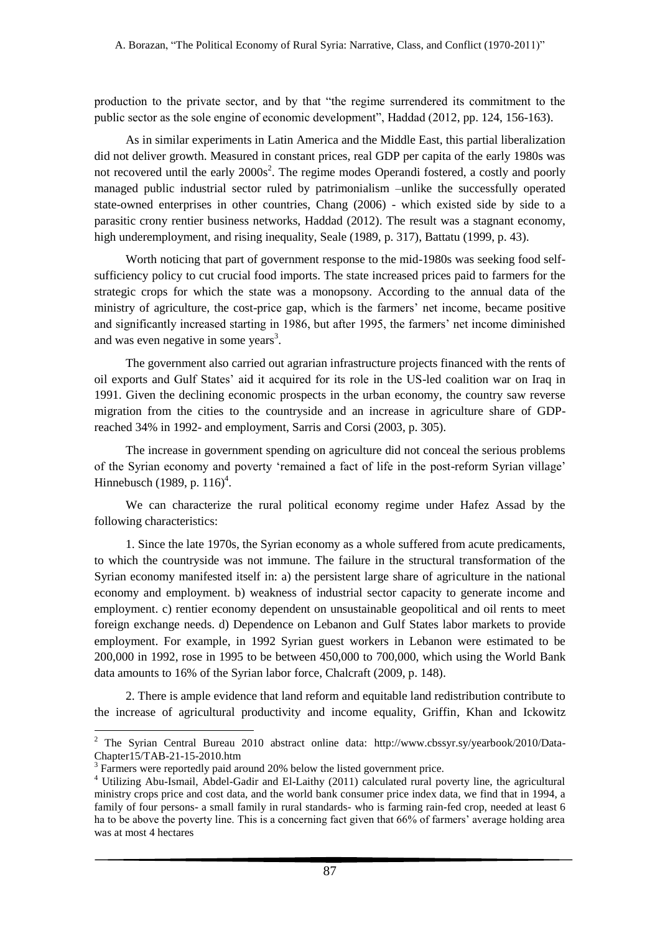production to the private sector, and by that "the regime surrendered its commitment to the public sector as the sole engine of economic development", Haddad (2012, pp. 124, 156-163).

As in similar experiments in Latin America and the Middle East, this partial liberalization did not deliver growth. Measured in constant prices, real GDP per capita of the early 1980s was not recovered until the early  $2000s^2$ . The regime modes Operandi fostered, a costly and poorly managed public industrial sector ruled by patrimonialism –unlike the successfully operated state-owned enterprises in other countries, Chang (2006) - which existed side by side to a parasitic crony rentier business networks, Haddad (2012). The result was a stagnant economy, high underemployment, and rising inequality, Seale (1989, p. 317), Battatu (1999, p. 43).

Worth noticing that part of government response to the mid-1980s was seeking food selfsufficiency policy to cut crucial food imports. The state increased prices paid to farmers for the strategic crops for which the state was a monopsony. According to the annual data of the ministry of agriculture, the cost-price gap, which is the farmers' net income, became positive and significantly increased starting in 1986, but after 1995, the farmers' net income diminished and was even negative in some years<sup>3</sup>.

The government also carried out agrarian infrastructure projects financed with the rents of oil exports and Gulf States' aid it acquired for its role in the US-led coalition war on Iraq in 1991. Given the declining economic prospects in the urban economy, the country saw reverse migration from the cities to the countryside and an increase in agriculture share of GDPreached 34% in 1992- and employment, Sarris and Corsi (2003, p. 305).

The increase in government spending on agriculture did not conceal the serious problems of the Syrian economy and poverty 'remained a fact of life in the post-reform Syrian village' Hinnebusch (1989, p. 116)<sup>4</sup>.

We can characterize the rural political economy regime under Hafez Assad by the following characteristics:

1. Since the late 1970s, the Syrian economy as a whole suffered from acute predicaments, to which the countryside was not immune. The failure in the structural transformation of the Syrian economy manifested itself in: a) the persistent large share of agriculture in the national economy and employment. b) weakness of industrial sector capacity to generate income and employment. c) rentier economy dependent on unsustainable geopolitical and oil rents to meet foreign exchange needs. d) Dependence on Lebanon and Gulf States labor markets to provide employment. For example, in 1992 Syrian guest workers in Lebanon were estimated to be 200,000 in 1992, rose in 1995 to be between 450,000 to 700,000, which using the World Bank data amounts to 16% of the Syrian labor force, Chalcraft (2009, p. 148).

2. There is ample evidence that land reform and equitable land redistribution contribute to the increase of agricultural productivity and income equality, Griffin, Khan and Ickowitz

<u>.</u>

<sup>2</sup> The Syrian Central Bureau 2010 abstract online data: [http://www.cbssyr.sy/yearbook/2010/Data-](http://www.cbssyr.sy/yearbook/2010/Data-Chapter15/TAB-21-15-2010.htm)[Chapter15/TAB-21-15-2010.htm](http://www.cbssyr.sy/yearbook/2010/Data-Chapter15/TAB-21-15-2010.htm)

 $3$  Farmers were reportedly paid around 20% below the listed government price.

<sup>4</sup> Utilizing Abu-Ismail, Abdel-Gadir and El-Laithy (2011) calculated rural poverty line, the agricultural ministry crops price and cost data, and the world bank consumer price index data, we find that in 1994, a family of four persons- a small family in rural standards- who is farming rain-fed crop, needed at least 6 ha to be above the poverty line. This is a concerning fact given that 66% of farmers' average holding area was at most 4 hectares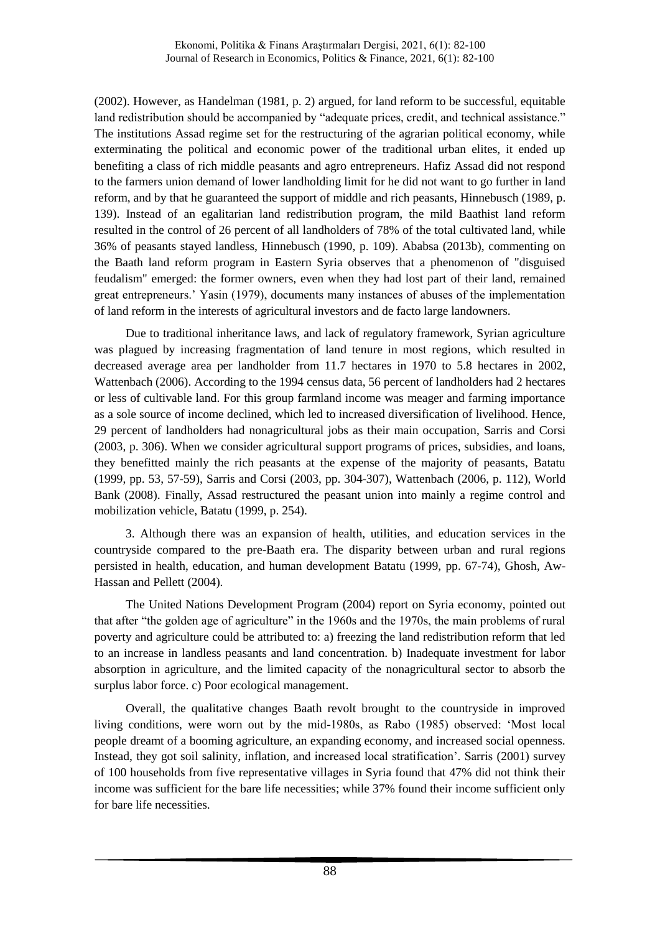(2002). However, as Handelman (1981, p. 2) argued, for land reform to be successful, equitable land redistribution should be accompanied by "adequate prices, credit, and technical assistance." The institutions Assad regime set for the restructuring of the agrarian political economy, while exterminating the political and economic power of the traditional urban elites, it ended up benefiting a class of rich middle peasants and agro entrepreneurs. Hafiz Assad did not respond to the farmers union demand of lower landholding limit for he did not want to go further in land reform, and by that he guaranteed the support of middle and rich peasants, Hinnebusch (1989, p. 139). Instead of an egalitarian land redistribution program, the mild Baathist land reform resulted in the control of 26 percent of all landholders of 78% of the total cultivated land, while 36% of peasants stayed landless, Hinnebusch (1990, p. 109). Ababsa (2013b), commenting on the Baath land reform program in Eastern Syria observes that a phenomenon of "disguised feudalism" emerged: the former owners, even when they had lost part of their land, remained great entrepreneurs.' Yasin (1979), documents many instances of abuses of the implementation of land reform in the interests of agricultural investors and de facto large landowners.

Due to traditional inheritance laws, and lack of regulatory framework, Syrian agriculture was plagued by increasing fragmentation of land tenure in most regions, which resulted in decreased average area per landholder from 11.7 hectares in 1970 to 5.8 hectares in 2002, Wattenbach (2006). According to the 1994 census data, 56 percent of landholders had 2 hectares or less of cultivable land. For this group farmland income was meager and farming importance as a sole source of income declined, which led to increased diversification of livelihood. Hence, 29 percent of landholders had nonagricultural jobs as their main occupation, Sarris and Corsi (2003, p. 306). When we consider agricultural support programs of prices, subsidies, and loans, they benefitted mainly the rich peasants at the expense of the majority of peasants, Batatu (1999, pp. 53, 57-59), Sarris and Corsi (2003, pp. 304-307), Wattenbach (2006, p. 112), World Bank (2008). Finally, Assad restructured the peasant union into mainly a regime control and mobilization vehicle, Batatu (1999, p. 254).

3. Although there was an expansion of health, utilities, and education services in the countryside compared to the pre-Baath era. The disparity between urban and rural regions persisted in health, education, and human development Batatu (1999, pp. 67-74), Ghosh, Aw-Hassan and Pellett (2004).

The United Nations Development Program (2004) report on Syria economy, pointed out that after "the golden age of agriculture" in the 1960s and the 1970s, the main problems of rural poverty and agriculture could be attributed to: a) freezing the land redistribution reform that led to an increase in landless peasants and land concentration. b) Inadequate investment for labor absorption in agriculture, and the limited capacity of the nonagricultural sector to absorb the surplus labor force. c) Poor ecological management.

Overall, the qualitative changes Baath revolt brought to the countryside in improved living conditions, were worn out by the mid-1980s, as Rabo (1985) observed: 'Most local people dreamt of a booming agriculture, an expanding economy, and increased social openness. Instead, they got soil salinity, inflation, and increased local stratification'. Sarris (2001) survey of 100 households from five representative villages in Syria found that 47% did not think their income was sufficient for the bare life necessities; while 37% found their income sufficient only for bare life necessities.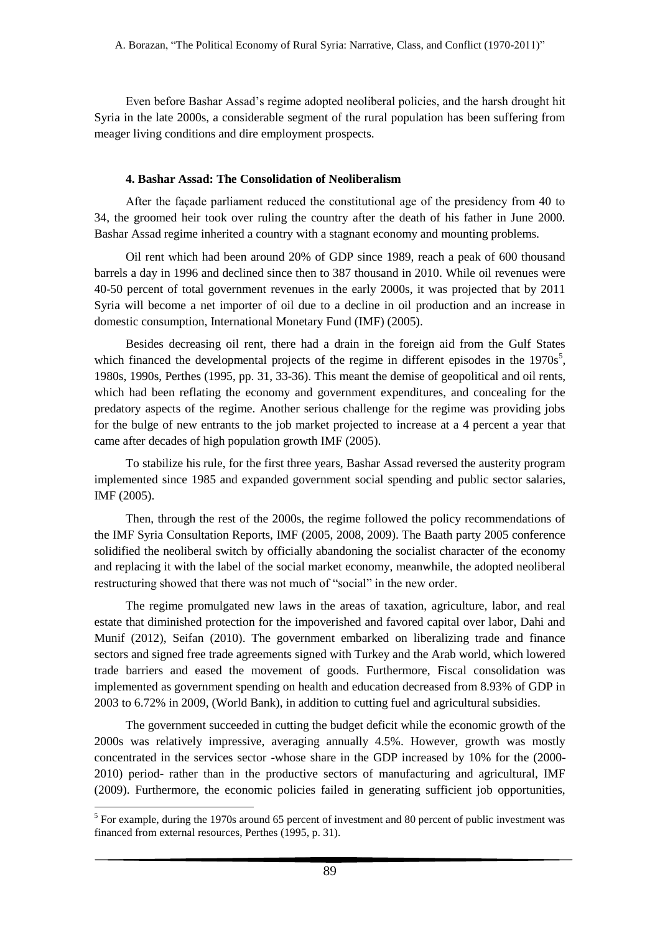Even before Bashar Assad's regime adopted neoliberal policies, and the harsh drought hit Syria in the late 2000s, a considerable segment of the rural population has been suffering from meager living conditions and dire employment prospects.

# **4. Bashar Assad: The Consolidation of Neoliberalism**

After the façade parliament reduced the constitutional age of the presidency from 40 to 34, the groomed heir took over ruling the country after the death of his father in June 2000. Bashar Assad regime inherited a country with a stagnant economy and mounting problems.

Oil rent which had been around 20% of GDP since 1989, reach a peak of 600 thousand barrels a day in 1996 and declined since then to 387 thousand in 2010. While oil revenues were 40-50 percent of total government revenues in the early 2000s, it was projected that by 2011 Syria will become a net importer of oil due to a decline in oil production and an increase in domestic consumption, International Monetary Fund (IMF) (2005).

Besides decreasing oil rent, there had a drain in the foreign aid from the Gulf States which financed the developmental projects of the regime in different episodes in the  $1970s<sup>5</sup>$ , 1980s, 1990s, Perthes (1995, pp. 31, 33-36). This meant the demise of geopolitical and oil rents, which had been reflating the economy and government expenditures, and concealing for the predatory aspects of the regime. Another serious challenge for the regime was providing jobs for the bulge of new entrants to the job market projected to increase at a 4 percent a year that came after decades of high population growth IMF (2005).

To stabilize his rule, for the first three years, Bashar Assad reversed the austerity program implemented since 1985 and expanded government social spending and public sector salaries, IMF (2005).

Then, through the rest of the 2000s, the regime followed the policy recommendations of the IMF Syria Consultation Reports, IMF (2005, 2008, 2009). The Baath party 2005 conference solidified the neoliberal switch by officially abandoning the socialist character of the economy and replacing it with the label of the social market economy, meanwhile, the adopted neoliberal restructuring showed that there was not much of "social" in the new order.

The regime promulgated new laws in the areas of taxation, agriculture, labor, and real estate that diminished protection for the impoverished and favored capital over labor, Dahi and Munif (2012), Seifan (2010). The government embarked on liberalizing trade and finance sectors and signed free trade agreements signed with Turkey and the Arab world, which lowered trade barriers and eased the movement of goods. Furthermore, Fiscal consolidation was implemented as government spending on health and education decreased from 8.93% of GDP in 2003 to 6.72% in 2009, (World Bank), in addition to cutting fuel and agricultural subsidies.

The government succeeded in cutting the budget deficit while the economic growth of the 2000s was relatively impressive, averaging annually 4.5%. However, growth was mostly concentrated in the services sector -whose share in the GDP increased by 10% for the (2000- 2010) period- rather than in the productive sectors of manufacturing and agricultural, IMF (2009). Furthermore, the economic policies failed in generating sufficient job opportunities,

<u>.</u>

<sup>&</sup>lt;sup>5</sup> For example, during the 1970s around 65 percent of investment and 80 percent of public investment was financed from external resources, Perthes (1995, p. 31).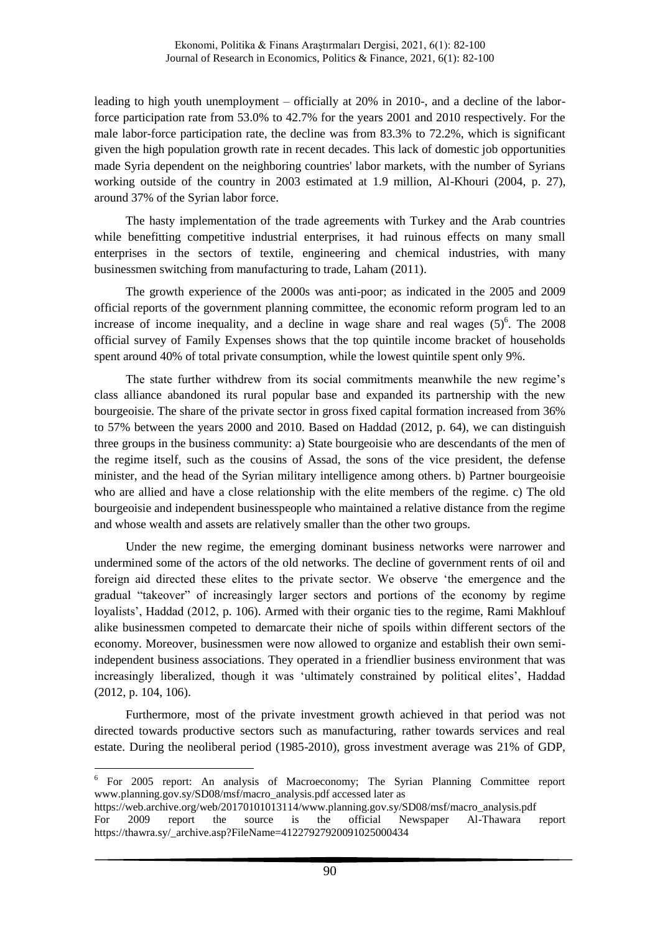leading to high youth unemployment – officially at 20% in 2010-, and a decline of the laborforce participation rate from 53.0% to 42.7% for the years 2001 and 2010 respectively. For the male labor-force participation rate, the decline was from 83.3% to 72.2%, which is significant given the high population growth rate in recent decades. This lack of domestic job opportunities made Syria dependent on the neighboring countries' labor markets, with the number of Syrians working outside of the country in 2003 estimated at 1.9 million, Al-Khouri (2004, p. 27), around 37% of the Syrian labor force.

The hasty implementation of the trade agreements with Turkey and the Arab countries while benefitting competitive industrial enterprises, it had ruinous effects on many small enterprises in the sectors of textile, engineering and chemical industries, with many businessmen switching from manufacturing to trade, Laham (2011).

The growth experience of the 2000s was anti-poor; as indicated in the 2005 and 2009 official reports of the government planning committee, the economic reform program led to an increase of income inequality, and a decline in wage share and real wages  $(5)^6$ . The 2008 official survey of Family Expenses shows that the top quintile income bracket of households spent around 40% of total private consumption, while the lowest quintile spent only 9%.

The state further withdrew from its social commitments meanwhile the new regime's class alliance abandoned its rural popular base and expanded its partnership with the new bourgeoisie. The share of the private sector in gross fixed capital formation increased from 36% to 57% between the years 2000 and 2010. Based on Haddad (2012, p. 64), we can distinguish three groups in the business community: a) State bourgeoisie who are descendants of the men of the regime itself, such as the cousins of Assad, the sons of the vice president, the defense minister, and the head of the Syrian military intelligence among others. b) Partner bourgeoisie who are allied and have a close relationship with the elite members of the regime. c) The old bourgeoisie and independent businesspeople who maintained a relative distance from the regime and whose wealth and assets are relatively smaller than the other two groups.

Under the new regime, the emerging dominant business networks were narrower and undermined some of the actors of the old networks. The decline of government rents of oil and foreign aid directed these elites to the private sector. We observe 'the emergence and the gradual "takeover" of increasingly larger sectors and portions of the economy by regime loyalists', Haddad (2012, p. 106). Armed with their organic ties to the regime, Rami Makhlouf alike businessmen competed to demarcate their niche of spoils within different sectors of the economy. Moreover, businessmen were now allowed to organize and establish their own semiindependent business associations. They operated in a friendlier business environment that was increasingly liberalized, though it was 'ultimately constrained by political elites', Haddad (2012, p. 104, 106).

Furthermore, most of the private investment growth achieved in that period was not directed towards productive sectors such as manufacturing, rather towards services and real estate. During the neoliberal period (1985-2010), gross investment average was 21% of GDP,

<u>.</u>

<sup>&</sup>lt;sup>6</sup> For 2005 report: An analysis of Macroeconomy; The Syrian Planning Committee report www.planning.gov.sy/SD08/msf/macro\_analysis.pdf accessed later as

https://web.archive.org/web/20170101013114/www.planning.gov.sy/SD08/msf/macro\_analysis.pdf For 2009 report the source is the official Newspaper Al-Thawara report https://thawra.sy/\_archive.asp?FileName=41227927920091025000434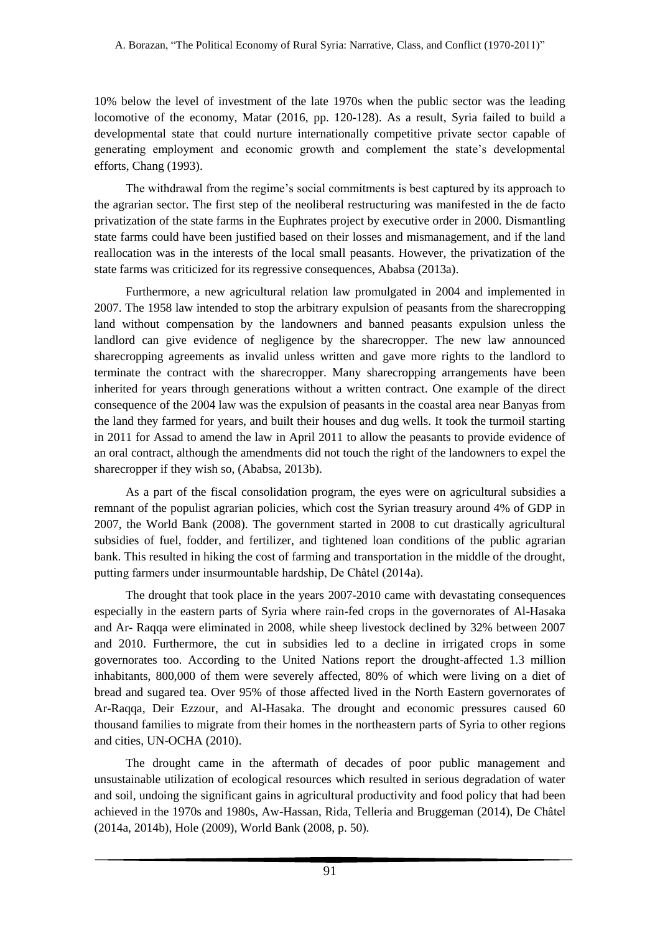10% below the level of investment of the late 1970s when the public sector was the leading locomotive of the economy, Matar (2016, pp. 120-128). As a result, Syria failed to build a developmental state that could nurture internationally competitive private sector capable of generating employment and economic growth and complement the state's developmental efforts, Chang (1993).

The withdrawal from the regime's social commitments is best captured by its approach to the agrarian sector. The first step of the neoliberal restructuring was manifested in the de facto privatization of the state farms in the Euphrates project by executive order in 2000. Dismantling state farms could have been justified based on their losses and mismanagement, and if the land reallocation was in the interests of the local small peasants. However, the privatization of the state farms was criticized for its regressive consequences, Ababsa (2013a).

Furthermore, a new agricultural relation law promulgated in 2004 and implemented in 2007. The 1958 law intended to stop the arbitrary expulsion of peasants from the sharecropping land without compensation by the landowners and banned peasants expulsion unless the landlord can give evidence of negligence by the sharecropper. The new law announced sharecropping agreements as invalid unless written and gave more rights to the landlord to terminate the contract with the sharecropper. Many sharecropping arrangements have been inherited for years through generations without a written contract. One example of the direct consequence of the 2004 law was the expulsion of peasants in the coastal area near Banyas from the land they farmed for years, and built their houses and dug wells. It took the turmoil starting in 2011 for Assad to amend the law in April 2011 to allow the peasants to provide evidence of an oral contract, although the amendments did not touch the right of the landowners to expel the sharecropper if they wish so, (Ababsa, 2013b).

As a part of the fiscal consolidation program, the eyes were on agricultural subsidies a remnant of the populist agrarian policies, which cost the Syrian treasury around 4% of GDP in 2007, the World Bank (2008). The government started in 2008 to cut drastically agricultural subsidies of fuel, fodder, and fertilizer, and tightened loan conditions of the public agrarian bank. This resulted in hiking the cost of farming and transportation in the middle of the drought, putting farmers under insurmountable hardship, De Châtel (2014a).

The drought that took place in the years 2007-2010 came with devastating consequences especially in the eastern parts of Syria where rain-fed crops in the governorates of Al-Hasaka and Ar- Raqqa were eliminated in 2008, while sheep livestock declined by 32% between 2007 and 2010. Furthermore, the cut in subsidies led to a decline in irrigated crops in some governorates too. According to the United Nations report the drought-affected 1.3 million inhabitants, 800,000 of them were severely affected, 80% of which were living on a diet of bread and sugared tea. Over 95% of those affected lived in the North Eastern governorates of Ar-Raqqa, Deir Ezzour, and Al-Hasaka. The drought and economic pressures caused 60 thousand families to migrate from their homes in the northeastern parts of Syria to other regions and cities, UN-OCHA (2010).

The drought came in the aftermath of decades of poor public management and unsustainable utilization of ecological resources which resulted in serious degradation of water and soil, undoing the significant gains in agricultural productivity and food policy that had been achieved in the 1970s and 1980s, Aw-Hassan, Rida, Telleria and Bruggeman (2014), De Châtel (2014a, 2014b), Hole (2009), World Bank (2008, p. 50).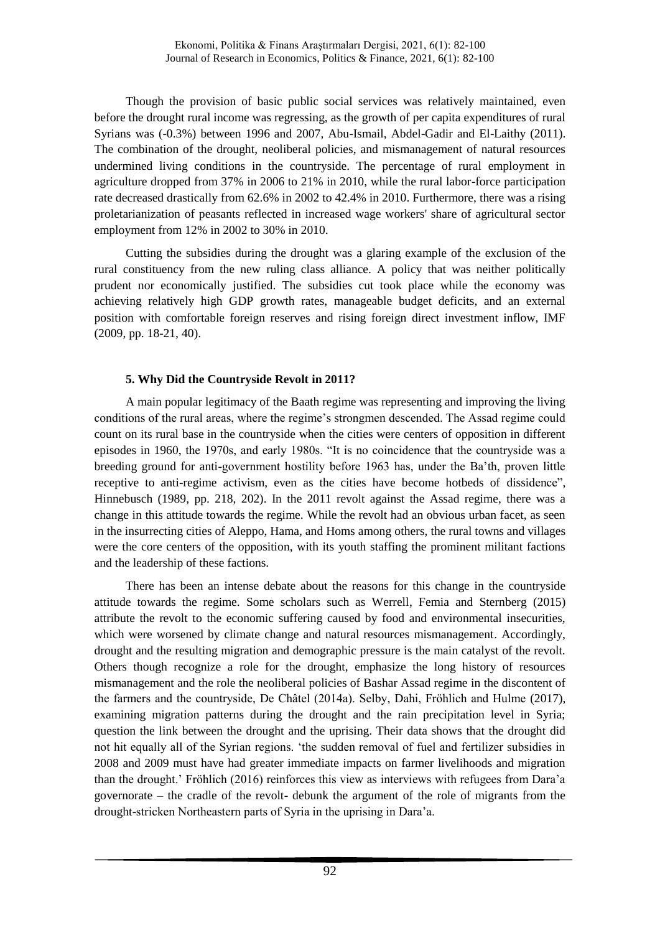Though the provision of basic public social services was relatively maintained, even before the drought rural income was regressing, as the growth of per capita expenditures of rural Syrians was (-0.3%) between 1996 and 2007, Abu-Ismail, Abdel-Gadir and El-Laithy (2011). The combination of the drought, neoliberal policies, and mismanagement of natural resources undermined living conditions in the countryside. The percentage of rural employment in agriculture dropped from 37% in 2006 to 21% in 2010, while the rural labor-force participation rate decreased drastically from 62.6% in 2002 to 42.4% in 2010. Furthermore, there was a rising proletarianization of peasants reflected in increased wage workers' share of agricultural sector employment from 12% in 2002 to 30% in 2010.

Cutting the subsidies during the drought was a glaring example of the exclusion of the rural constituency from the new ruling class alliance. A policy that was neither politically prudent nor economically justified. The subsidies cut took place while the economy was achieving relatively high GDP growth rates, manageable budget deficits, and an external position with comfortable foreign reserves and rising foreign direct investment inflow, IMF (2009, pp. 18-21, 40).

# **5. Why Did the Countryside Revolt in 2011?**

A main popular legitimacy of the Baath regime was representing and improving the living conditions of the rural areas, where the regime's strongmen descended. The Assad regime could count on its rural base in the countryside when the cities were centers of opposition in different episodes in 1960, the 1970s, and early 1980s. "It is no coincidence that the countryside was a breeding ground for anti-government hostility before 1963 has, under the Ba'th, proven little receptive to anti-regime activism, even as the cities have become hotbeds of dissidence", Hinnebusch (1989, pp. 218, 202). In the 2011 revolt against the Assad regime, there was a change in this attitude towards the regime. While the revolt had an obvious urban facet, as seen in the insurrecting cities of Aleppo, Hama, and Homs among others, the rural towns and villages were the core centers of the opposition, with its youth staffing the prominent militant factions and the leadership of these factions.

There has been an intense debate about the reasons for this change in the countryside attitude towards the regime. Some scholars such as Werrell, Femia and Sternberg (2015) attribute the revolt to the economic suffering caused by food and environmental insecurities, which were worsened by climate change and natural resources mismanagement. Accordingly, drought and the resulting migration and demographic pressure is the main catalyst of the revolt. Others though recognize a role for the drought, emphasize the long history of resources mismanagement and the role the neoliberal policies of Bashar Assad regime in the discontent of the farmers and the countryside, De Châtel (2014a). Selby, Dahi, Fröhlich and Hulme (2017), examining migration patterns during the drought and the rain precipitation level in Syria; question the link between the drought and the uprising. Their data shows that the drought did not hit equally all of the Syrian regions. 'the sudden removal of fuel and fertilizer subsidies in 2008 and 2009 must have had greater immediate impacts on farmer livelihoods and migration than the drought.' Fröhlich (2016) reinforces this view as interviews with refugees from Dara'a governorate – the cradle of the revolt- debunk the argument of the role of migrants from the drought-stricken Northeastern parts of Syria in the uprising in Dara'a.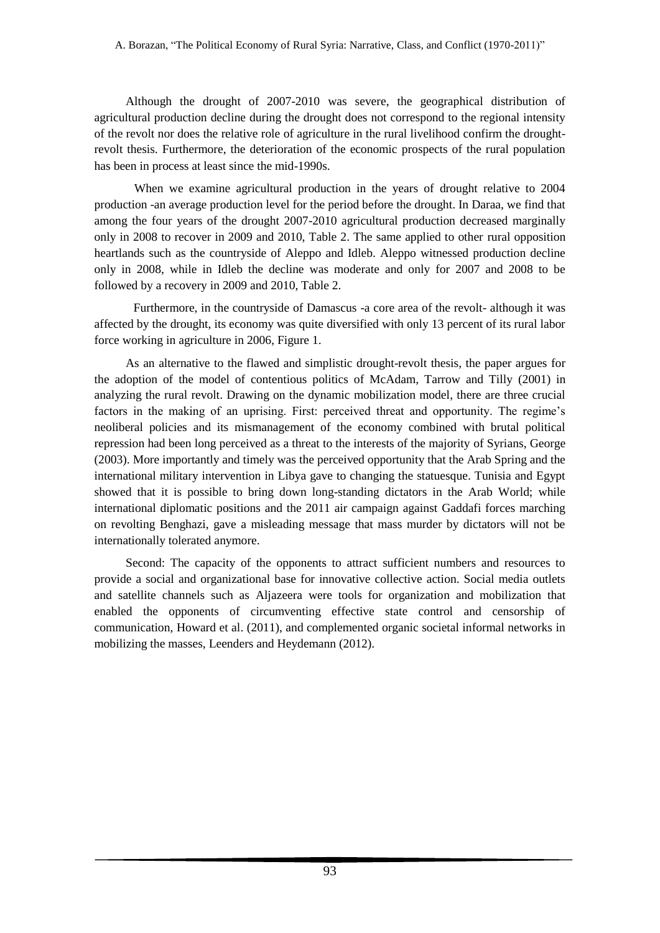Although the drought of 2007-2010 was severe, the geographical distribution of agricultural production decline during the drought does not correspond to the regional intensity of the revolt nor does the relative role of agriculture in the rural livelihood confirm the droughtrevolt thesis. Furthermore, the deterioration of the economic prospects of the rural population has been in process at least since the mid-1990s.

When we examine agricultural production in the years of drought relative to 2004 production -an average production level for the period before the drought. In Daraa, we find that among the four years of the drought 2007-2010 agricultural production decreased marginally only in 2008 to recover in 2009 and 2010, Table 2. The same applied to other rural opposition heartlands such as the countryside of Aleppo and Idleb. Aleppo witnessed production decline only in 2008, while in Idleb the decline was moderate and only for 2007 and 2008 to be followed by a recovery in 2009 and 2010, Table 2.

Furthermore, in the countryside of Damascus -a core area of the revolt- although it was affected by the drought, its economy was quite diversified with only 13 percent of its rural labor force working in agriculture in 2006, Figure 1.

As an alternative to the flawed and simplistic drought-revolt thesis, the paper argues for the adoption of the model of contentious politics of McAdam, Tarrow and Tilly (2001) in analyzing the rural revolt. Drawing on the dynamic mobilization model, there are three crucial factors in the making of an uprising. First: perceived threat and opportunity. The regime's neoliberal policies and its mismanagement of the economy combined with brutal political repression had been long perceived as a threat to the interests of the majority of Syrians, George (2003). More importantly and timely was the perceived opportunity that the Arab Spring and the international military intervention in Libya gave to changing the statuesque. Tunisia and Egypt showed that it is possible to bring down long-standing dictators in the Arab World; while international diplomatic positions and the 2011 air campaign against Gaddafi forces marching on revolting Benghazi, gave a misleading message that mass murder by dictators will not be internationally tolerated anymore.

Second: The capacity of the opponents to attract sufficient numbers and resources to provide a social and organizational base for innovative collective action. Social media outlets and satellite channels such as Aljazeera were tools for organization and mobilization that enabled the opponents of circumventing effective state control and censorship of communication, Howard et al. (2011), and complemented organic societal informal networks in mobilizing the masses, Leenders and Heydemann (2012).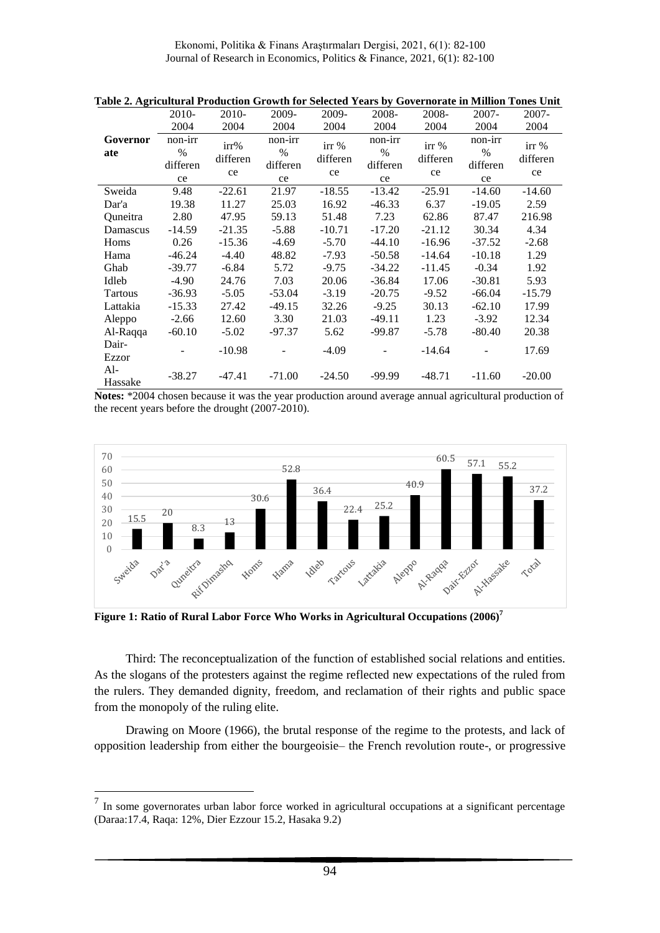Ekonomi, Politika & Finans Araştırmaları Dergisi, 2021, 6(1): 82-100 Journal of Research in Economics, Politics & Finance, 2021, 6(1): 82-100

|                 | 2010-                                      | 2010-                  | 2009-                             | 2009-                   | 2008-                             | 2008-                   | $2007 -$                                   | $2007 -$                |
|-----------------|--------------------------------------------|------------------------|-----------------------------------|-------------------------|-----------------------------------|-------------------------|--------------------------------------------|-------------------------|
|                 | 2004                                       | 2004                   | 2004                              | 2004                    | 2004                              | 2004                    | 2004                                       | 2004                    |
| Governor<br>ate | non-irr<br>$\frac{0}{0}$<br>differen<br>ce | irr%<br>differen<br>ce | non-irr<br>$\%$<br>differen<br>ce | irr %<br>differen<br>ce | non-irr<br>$\%$<br>differen<br>ce | irr %<br>differen<br>ce | non-irr<br>$\frac{0}{0}$<br>differen<br>ce | irr %<br>differen<br>ce |
| Sweida          | 9.48                                       | $-22.61$               | 21.97                             | $-18.55$                | $-13.42$                          | $-25.91$                | $-14.60$                                   | $-14.60$                |
| Dar'a           | 19.38                                      | 11.27                  | 25.03                             | 16.92                   | $-46.33$                          | 6.37                    | $-19.05$                                   | 2.59                    |
| Quneitra        | 2.80                                       | 47.95                  | 59.13                             | 51.48                   | 7.23                              | 62.86                   | 87.47                                      | 216.98                  |
| Damascus        | $-14.59$                                   | $-21.35$               | $-5.88$                           | $-10.71$                | $-17.20$                          | $-21.12$                | 30.34                                      | 4.34                    |
| Homs            | 0.26                                       | $-15.36$               | $-4.69$                           | $-5.70$                 | $-44.10$                          | $-16.96$                | $-37.52$                                   | $-2.68$                 |
| Hama            | $-46.24$                                   | $-4.40$                | 48.82                             | $-7.93$                 | $-50.58$                          | $-14.64$                | $-10.18$                                   | 1.29                    |
| Ghab            | $-39.77$                                   | $-6.84$                | 5.72                              | $-9.75$                 | $-34.22$                          | $-11.45$                | $-0.34$                                    | 1.92                    |
| Idleb           | $-4.90$                                    | 24.76                  | 7.03                              | 20.06                   | $-36.84$                          | 17.06                   | $-30.81$                                   | 5.93                    |
| <b>Tartous</b>  | $-36.93$                                   | $-5.05$                | $-53.04$                          | $-3.19$                 | $-20.75$                          | $-9.52$                 | $-66.04$                                   | $-15.79$                |
| Lattakia        | $-15.33$                                   | 27.42                  | $-49.15$                          | 32.26                   | $-9.25$                           | 30.13                   | $-62.10$                                   | 17.99                   |
| Aleppo          | $-2.66$                                    | 12.60                  | 3.30                              | 21.03                   | $-49.11$                          | 1.23                    | $-3.92$                                    | 12.34                   |
| Al-Raqqa        | $-60.10$                                   | $-5.02$                | $-97.37$                          | 5.62                    | -99.87                            | $-5.78$                 | $-80.40$                                   | 20.38                   |
| Dair-<br>Ezzor  |                                            | $-10.98$               |                                   | $-4.09$                 |                                   | $-14.64$                |                                            | 17.69                   |
| Al-<br>Hassake  | $-38.27$                                   | $-47.41$               | $-71.00$                          | $-24.50$                | $-99.99$                          | $-48.71$                | $-11.60$                                   | $-20.00$                |

**Table 2. Agricultural Production Growth for Selected Years by Governorate in Million Tones Unit**

**Notes:** \*2004 chosen because it was the year production around average annual agricultural production of the recent years before the drought (2007-2010).



**Figure 1: Ratio of Rural Labor Force Who Works in Agricultural Occupations (2006)<sup>7</sup>**

Third: The reconceptualization of the function of established social relations and entities. As the slogans of the protesters against the regime reflected new expectations of the ruled from the rulers. They demanded dignity, freedom, and reclamation of their rights and public space from the monopoly of the ruling elite.

Drawing on Moore (1966), the brutal response of the regime to the protests, and lack of opposition leadership from either the bourgeoisie– the French revolution route-, or progressive

<sup>&</sup>lt;sup>7</sup> In some governorates urban labor force worked in agricultural occupations at a significant percentage (Daraa:17.4, Raqa: 12%, Dier Ezzour 15.2, Hasaka 9.2)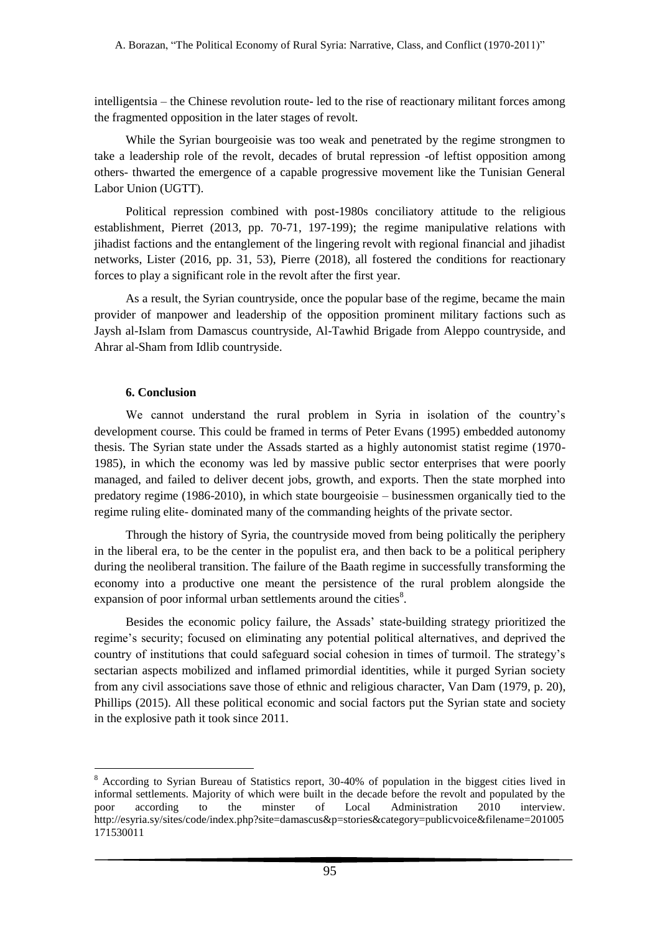intelligentsia – the Chinese revolution route- led to the rise of reactionary militant forces among the fragmented opposition in the later stages of revolt.

While the Syrian bourgeoisie was too weak and penetrated by the regime strongmen to take a leadership role of the revolt, decades of brutal repression -of leftist opposition among others- thwarted the emergence of a capable progressive movement like the Tunisian General Labor Union (UGTT).

Political repression combined with post-1980s conciliatory attitude to the religious establishment, Pierret (2013, pp. 70-71, 197-199); the regime manipulative relations with jihadist factions and the entanglement of the lingering revolt with regional financial and jihadist networks, Lister (2016, pp. 31, 53), Pierre (2018), all fostered the conditions for reactionary forces to play a significant role in the revolt after the first year.

As a result, the Syrian countryside, once the popular base of the regime, became the main provider of manpower and leadership of the opposition prominent military factions such as Jaysh al-Islam from Damascus countryside, Al-Tawhid Brigade from Aleppo countryside, and Ahrar al-Sham from Idlib countryside.

# **6. Conclusion**

<u>.</u>

We cannot understand the rural problem in Syria in isolation of the country's development course. This could be framed in terms of Peter Evans (1995) embedded autonomy thesis. The Syrian state under the Assads started as a highly autonomist statist regime (1970- 1985), in which the economy was led by massive public sector enterprises that were poorly managed, and failed to deliver decent jobs, growth, and exports. Then the state morphed into predatory regime (1986-2010), in which state bourgeoisie – businessmen organically tied to the regime ruling elite- dominated many of the commanding heights of the private sector.

Through the history of Syria, the countryside moved from being politically the periphery in the liberal era, to be the center in the populist era, and then back to be a political periphery during the neoliberal transition. The failure of the Baath regime in successfully transforming the economy into a productive one meant the persistence of the rural problem alongside the expansion of poor informal urban settlements around the cities<sup>8</sup>.

Besides the economic policy failure, the Assads' state-building strategy prioritized the regime's security; focused on eliminating any potential political alternatives, and deprived the country of institutions that could safeguard social cohesion in times of turmoil. The strategy's sectarian aspects mobilized and inflamed primordial identities, while it purged Syrian society from any civil associations save those of ethnic and religious character, Van Dam (1979, p. 20), Phillips (2015). All these political economic and social factors put the Syrian state and society in the explosive path it took since 2011.

<sup>8</sup> According to Syrian Bureau of Statistics report, 30-40% of population in the biggest cities lived in informal settlements. Majority of which were built in the decade before the revolt and populated by the poor according to the minster of Local Administration 2010 interview. [http://esyria.sy/sites/code/index.php?site=damascus&p=stories&category=publicvoice&filename=201005](http://esyria.sy/sites/code/index.php?site=damascus&p=stories&category=publicvoice&filename=201005171530011) [171530011](http://esyria.sy/sites/code/index.php?site=damascus&p=stories&category=publicvoice&filename=201005171530011)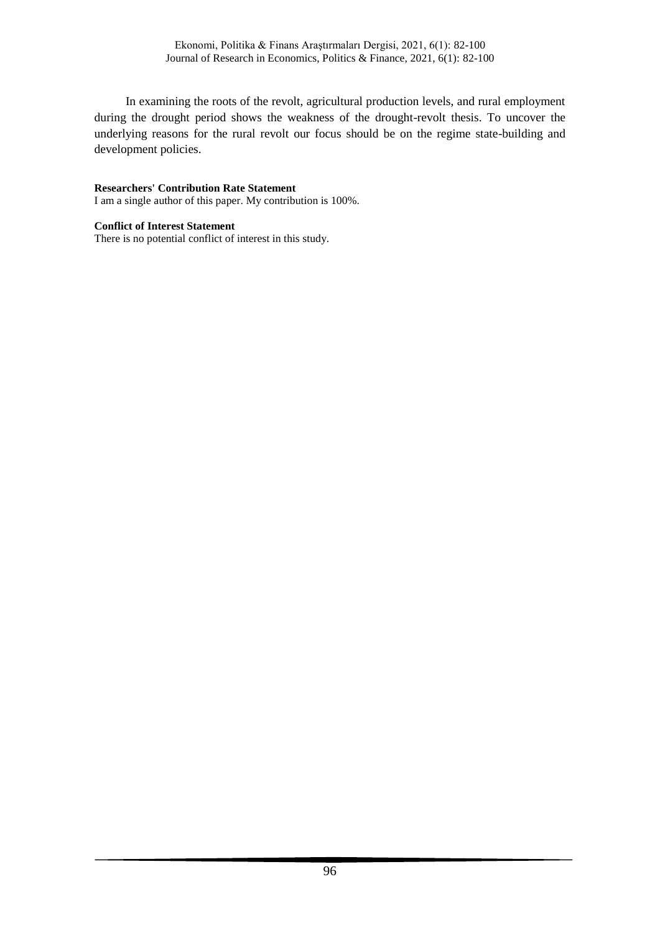In examining the roots of the revolt, agricultural production levels, and rural employment during the drought period shows the weakness of the drought-revolt thesis. To uncover the underlying reasons for the rural revolt our focus should be on the regime state-building and development policies.

## **Researchers' Contribution Rate Statement**

I am a single author of this paper. My contribution is 100%.

## **Conflict of Interest Statement**

There is no potential conflict of interest in this study.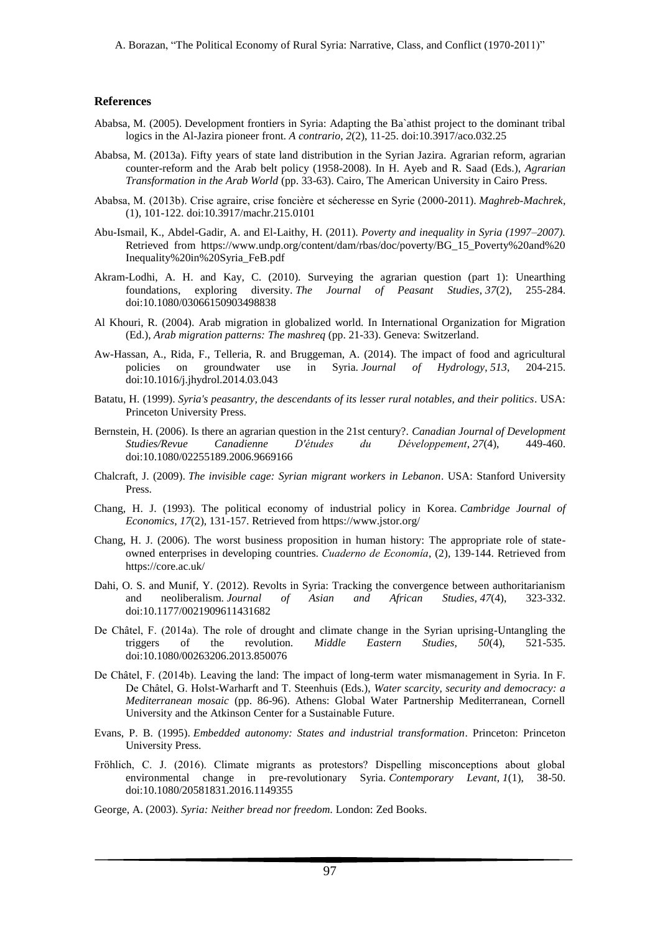## **References**

- Ababsa, M. (2005). Development frontiers in Syria: Adapting the Ba`athist project to the dominant tribal logics in the Al-Jazira pioneer front. *A contrario*, *2*(2), 11-25. [doi:10.3917/aco.032.25](https://doi.org/10.3917/aco.032.25)
- Ababsa, M. (2013a). Fifty years of state land distribution in the Syrian Jazira. Agrarian reform, agrarian counter-reform and the Arab belt policy (1958-2008). In H. Ayeb and R. Saad (Eds.), *Agrarian Transformation in the Arab World* (pp. 33-63). Cairo, The American University in Cairo Press.
- Ababsa, M. (2013b). Crise agraire, crise foncière et sécheresse en Syrie (2000-2011). *Maghreb-Machrek*, (1), 101-122. doi[:10.3917/machr.215.0101](https://doi.org/10.3917/machr.215.0101)
- Abu-Ismail, K., Abdel-Gadir, A. and El-Laithy, H. (2011). *Poverty and inequality in Syria (1997–2007).* Retrieved from [https://www.undp.org/content/dam/rbas/doc/poverty/BG\\_15\\_Poverty%20and%20](https://www.undp.org/content/dam/rbas/doc/poverty/BG_15_Poverty%20and%20%20Inequality%20in%20Syria_FeB.pdf)  [Inequality%20in%20Syria\\_FeB.pdf](https://www.undp.org/content/dam/rbas/doc/poverty/BG_15_Poverty%20and%20%20Inequality%20in%20Syria_FeB.pdf)
- Akram-Lodhi, A. H. and Kay, C. (2010). Surveying the agrarian question (part 1): Unearthing foundations, exploring diversity. *The Journal of Peasant Studies*, *37*(2), 255-284. doi[:10.1080/03066150903498838](https://doi.org/10.1080/03066150903498838)
- Al Khouri, R. (2004). Arab migration in globalized world. In International Organization for Migration (Ed.), *Arab migration patterns: The mashreq* (pp. 21-33). Geneva: Switzerland.
- Aw-Hassan, A., Rida, F., Telleria, R. and Bruggeman, A. (2014). The impact of food and agricultural policies on groundwater use in Syria. *Journal of Hydrology*, *513*, 204-215. doi[:10.1016/j.jhydrol.2014.03.043](https://doi.org/10.1016/j.jhydrol.2014.03.043)
- Batatu, H. (1999). *Syria's peasantry, the descendants of its lesser rural notables, and their politics*. USA: Princeton University Press.
- Bernstein, H. (2006). Is there an agrarian question in the 21st century?. *Canadian Journal of Development Studies/Revue Canadienne D'études du Développement*, *27*(4), 449-460. doi[:10.1080/02255189.2006.9669166](https://doi.org/10.1080/02255189.2006.9669166)
- Chalcraft, J. (2009). *The invisible cage: Syrian migrant workers in Lebanon*. USA: Stanford University Press.
- Chang, H. J. (1993). The political economy of industrial policy in Korea. *Cambridge Journal of Economics*, *17*(2), 131-157. Retrieved fro[m https://www.jstor.org/](https://www.jstor.org/stable/23599704)
- Chang, H. J. (2006). The worst business proposition in human history: The appropriate role of stateowned enterprises in developing countries. *Cuaderno de Economía*, (2), 139-144. Retrieved from [https://core.ac.uk/](https://core.ac.uk/download/pdf/234706453.pdf)
- Dahi, O. S. and Munif, Y. (2012). Revolts in Syria: Tracking the convergence between authoritarianism and neoliberalism. *Journal of Asian and African Studies*, *47*(4), 323-332. doi[:10.1177/0021909611431682](https://doi.org/10.1177%2F0021909611431682)
- De Châtel, F. (2014a). The role of drought and climate change in the Syrian uprising-Untangling the triggers of the revolution. *Middle Eastern Studies, 50*(4), 521-535. doi[:10.1080/00263206.2013.850076](https://doi.org/10.1080/00263206.2013.850076)
- De Châtel, F. (2014b). Leaving the land: The impact of long-term water mismanagement in Syria. In F. De Châtel, G. Holst-Warharft and T. Steenhuis (Eds.), *Water scarcity, security and democracy: a Mediterranean mosaic* (pp. 86-96). Athens: Global Water Partnership Mediterranean, Cornell University and the Atkinson Center for a Sustainable Future.
- Evans, P. B. (1995). *Embedded autonomy: States and industrial transformation*. Princeton: Princeton University Press.
- Fröhlich, C. J. (2016). Climate migrants as protestors? Dispelling misconceptions about global environmental change in pre-revolutionary Syria. *Contemporary Levant*, *1*(1), 38-50. doi[:10.1080/20581831.2016.1149355](https://doi.org/10.1080/20581831.2016.1149355)
- George, A. (2003). *Syria: Neither bread nor freedom.* London: Zed Books.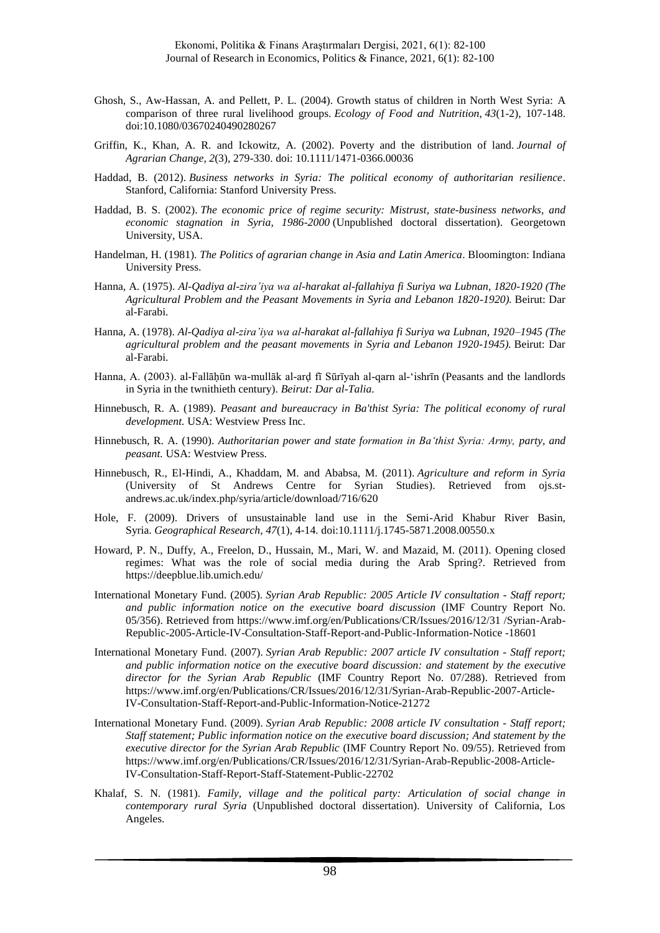- Ghosh, S., Aw-Hassan, A. and Pellett, P. L. (2004). Growth status of children in North West Syria: A comparison of three rural livelihood groups. *Ecology of Food and Nutrition*, *43*(1-2), 107-148. doi[:10.1080/03670240490280267](https://doi.org/10.1080/03670240490280267)
- Griffin, K., Khan, A. R. and Ickowitz, A. (2002). Poverty and the distribution of land. *Journal of Agrarian Change*, *2*(3), 279-330. doi[: 10.1111/1471-0366.00036](https://doi.org/10.1111/1471-0366.00036)
- Haddad, B. (2012). *Business networks in Syria: The political economy of authoritarian resilience*. Stanford, California: Stanford University Press.
- Haddad, B. S. (2002). *The economic price of regime security: Mistrust, state-business networks, and economic stagnation in Syria, 1986-2000* (Unpublished doctoral dissertation). Georgetown University, USA.
- Handelman, H. (1981). *The Politics of agrarian change in Asia and Latin America*. Bloomington: Indiana University Press.
- Hanna, A. (1975). *Al-Qadiya al-zira'iya wa al-harakat al-fallahiya fi Suriya wa Lubnan, 1820-1920 (The Agricultural Problem and the Peasant Movements in Syria and Lebanon 1820-1920).* Beirut: Dar al-Farabi.
- Hanna, A. (1978). *Al-Qadiya al-zira'iya wa al-harakat al-fallahiya fi Suriya wa Lubnan, 1920–1945 (The agricultural problem and the peasant movements in Syria and Lebanon 1920-1945).* Beirut: Dar al-Farabi.
- Hanna, A. (2003). al-Fallāḥūn wa-mullāk al-ard fī Sūrīyah al-qarn al-'ishrīn (Peasants and the landlords in Syria in the twnithieth century). *Beirut: Dar al-Talia*.
- Hinnebusch, R. A. (1989). *Peasant and bureaucracy in Ba'thist Syria: The political economy of rural development.* USA: Westview Press Inc.
- Hinnebusch, R. A. (1990). *Authoritarian power and state formation in Baʻthist Syria: Army, party, and peasant.* USA: Westview Press.
- Hinnebusch, R., El-Hindi, A., Khaddam, M. and Ababsa, M. (2011). *Agriculture and reform in Syria* (University of St Andrews Centre for Syrian Studies). Retrieved from [ojs.st](file:///C:/Users/IBM/AppData/Local/Temp/ojs.st-andrews.ac.uk/index.php/syria/article/download/716/620)[andrews.ac.uk/index.php/syria/article/download/716/620](file:///C:/Users/IBM/AppData/Local/Temp/ojs.st-andrews.ac.uk/index.php/syria/article/download/716/620)
- Hole, F. (2009). Drivers of unsustainable land use in the Semi-Arid Khabur River Basin, Syria. *Geographical Research*, *47*(1), 4-14. doi[:10.1111/j.1745-5871.2008.00550.x](https://doi.org/10.1111/j.1745-5871.2008.00550.x)
- Howard, P. N., Duffy, A., Freelon, D., Hussain, M., Mari, W. and Mazaid, M. (2011). Opening closed regimes: What was the role of social media during the Arab Spring?. Retrieved from https://deepblue.lib.umich.edu/
- International Monetary Fund. (2005). *Syrian Arab Republic: 2005 Article IV consultation - Staff report; and public information notice on the executive board discussion* (IMF Country Report No. 05/356). Retrieved from [https://www.imf.org/en/Publications/CR/Issues/2016/12/31 /Syrian-Arab-](https://www.imf.org/en/Publications/CR/Issues/2016/12/31/Syrian-Arab-Republic-2005-Article-IV-Consultation-Staff-Report-and-Public-Information-Notice-18601)[Republic-2005-Article-IV-Consultation-Staff-Report-and-Public-Information-Notice -18601](https://www.imf.org/en/Publications/CR/Issues/2016/12/31/Syrian-Arab-Republic-2005-Article-IV-Consultation-Staff-Report-and-Public-Information-Notice-18601)
- International Monetary Fund. (2007). *Syrian Arab Republic: 2007 article IV consultation - Staff report; and public information notice on the executive board discussion: and statement by the executive director for the Syrian Arab Republic* (IMF Country Report No. 07/288). Retrieved from [https://www.imf.org/en/Publications/CR/Issues/2016/12/31/Syrian-Arab-Republic-2007-Article-](https://www.imf.org/en/Publications/CR/Issues/2016/12/31/Syrian-Arab-Republic-2007-Article-IV-Consultation-Staff-Report-and-Public-Information-Notice-21272)[IV-Consultation-Staff-Report-and-Public-Information-Notice-21272](https://www.imf.org/en/Publications/CR/Issues/2016/12/31/Syrian-Arab-Republic-2007-Article-IV-Consultation-Staff-Report-and-Public-Information-Notice-21272)
- International Monetary Fund. (2009). *Syrian Arab Republic: 2008 article IV consultation - Staff report; Staff statement; Public information notice on the executive board discussion; And statement by the executive director for the Syrian Arab Republic* (IMF Country Report No. 09/55). Retrieved from [https://www.imf.org/en/Publications/CR/Issues/2016/12/31/Syrian-Arab-Republic-2008-Article-](https://www.imf.org/en/Publications/CR/Issues/2016/12/31/Syrian-Arab-Republic-2008-Article-IV-Consultation-Staff-Report-Staff-Statement-Public-22702)[IV-Consultation-Staff-Report-Staff-Statement-Public-22702](https://www.imf.org/en/Publications/CR/Issues/2016/12/31/Syrian-Arab-Republic-2008-Article-IV-Consultation-Staff-Report-Staff-Statement-Public-22702)
- Khalaf, S. N. (1981). *Family, village and the political party: Articulation of social change in contemporary rural Syria* (Unpublished doctoral dissertation). University of California, Los Angeles.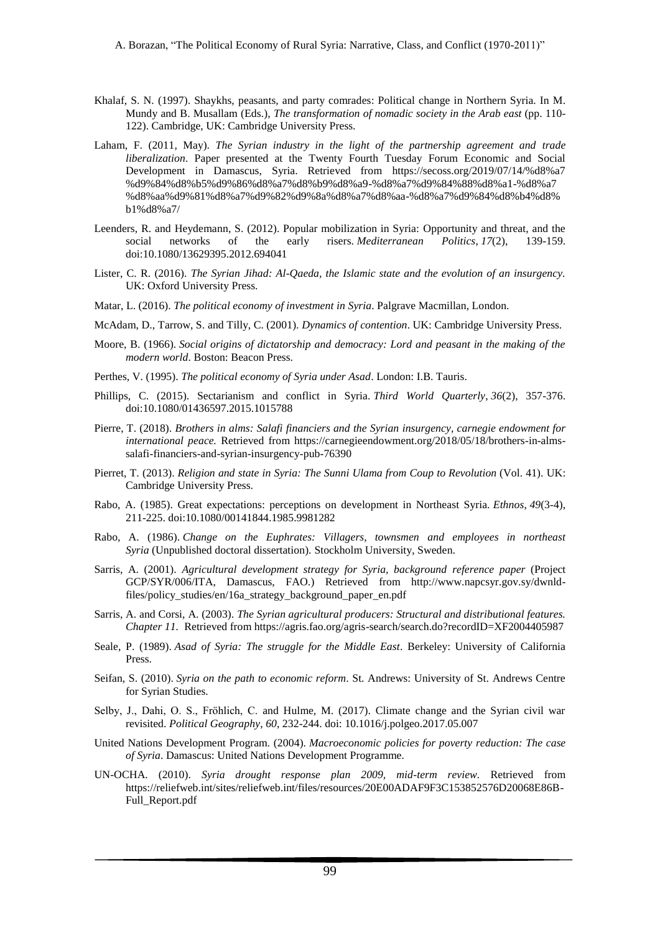- Khalaf, S. N. (1997). Shaykhs, peasants, and party comrades: Political change in Northern Syria. In M. Mundy and B. Musallam (Eds.), *The transformation of nomadic society in the Arab east* (pp. 110- 122). Cambridge, UK: Cambridge University Press.
- Laham, F. (2011, May). *The Syrian industry in the light of the partnership agreement and trade liberalization*. Paper presented at the Twenty Fourth Tuesday Forum Economic and Social Development in Damascus, Syria. Retrieved from [https://secoss.org/2019/07/14/%d8%a7](https://secoss.org/2019/07/14/%d8%a7%d9%84%d8%b5%d9%86%d8%a7%d8%b9%d8%a9-%d8%a7%d9%84%d8%b3%d9%88%d8%b1%d9%8a%d8%a9-%d9%81%d9%8a-%d8%b6%d9%88%d8%a1-%d8%a7%d8%aa%d9%81%d8%a7%d9%82%d9%8a%d8%a7%d8%aa-%d8%a7%d9%84%d8%b4%d8%b1%d8%a7/)  [%d9%84%d8%b5%d9%86%d8%a7%d8%b9%d8%a9-%d8%a7%d9%84%88%d8%a1-%d8%a7](https://secoss.org/2019/07/14/%d8%a7%d9%84%d8%b5%d9%86%d8%a7%d8%b9%d8%a9-%d8%a7%d9%84%d8%b3%d9%88%d8%b1%d9%8a%d8%a9-%d9%81%d9%8a-%d8%b6%d9%88%d8%a1-%d8%a7%d8%aa%d9%81%d8%a7%d9%82%d9%8a%d8%a7%d8%aa-%d8%a7%d9%84%d8%b4%d8%b1%d8%a7/)  [%d8%aa%d9%81%d8%a7%d9%82%d9%8a%d8%a7%d8%aa-%d8%a7%d9%84%d8%b4%d8%](https://secoss.org/2019/07/14/%d8%a7%d9%84%d8%b5%d9%86%d8%a7%d8%b9%d8%a9-%d8%a7%d9%84%d8%b3%d9%88%d8%b1%d9%8a%d8%a9-%d9%81%d9%8a-%d8%b6%d9%88%d8%a1-%d8%a7%d8%aa%d9%81%d8%a7%d9%82%d9%8a%d8%a7%d8%aa-%d8%a7%d9%84%d8%b4%d8%b1%d8%a7/)  [b1%d8%a7/](https://secoss.org/2019/07/14/%d8%a7%d9%84%d8%b5%d9%86%d8%a7%d8%b9%d8%a9-%d8%a7%d9%84%d8%b3%d9%88%d8%b1%d9%8a%d8%a9-%d9%81%d9%8a-%d8%b6%d9%88%d8%a1-%d8%a7%d8%aa%d9%81%d8%a7%d9%82%d9%8a%d8%a7%d8%aa-%d8%a7%d9%84%d8%b4%d8%b1%d8%a7/)
- Leenders, R. and Heydemann, S. (2012). Popular mobilization in Syria: Opportunity and threat, and the social networks of the early risers. *Mediterranean Politics*, *17*(2), 139-159. doi[:10.1080/13629395.2012.694041](https://doi.org/10.1080/13629395.2012.694041)
- Lister, C. R. (2016). *The Syrian Jihad: Al-Qaeda, the Islamic state and the evolution of an insurgency.* UK: Oxford University Press.
- Matar, L. (2016). *The political economy of investment in Syria*. Palgrave Macmillan, London.
- McAdam, D., Tarrow, S. and Tilly, C. (2001). *Dynamics of contention*. UK: Cambridge University Press.
- Moore, B. (1966). *Social origins of dictatorship and democracy: Lord and peasant in the making of the modern world*. Boston: Beacon Press.
- Perthes, V. (1995). *The political economy of Syria under Asad*. London: I.B. Tauris.
- Phillips, C. (2015). Sectarianism and conflict in Syria. *Third World Quarterly*, *36*(2), 357-376. doi[:10.1080/01436597.2015.1015788](https://doi.org/10.1080/01436597.2015.1015788)
- Pierre, T. (2018). *Brothers in alms: Salafi financiers and the Syrian insurgency, carnegie endowment for international peace.* Retrieved from [https://carnegieendowment.org/2018/05/18/brothers-in-alms](https://carnegieendowment.org/2018/05/18/brothers-in-alms-salafi-financiers-and-syrian-insurgency-pub-76390)[salafi-financiers-and-syrian-insurgency-pub-76390](https://carnegieendowment.org/2018/05/18/brothers-in-alms-salafi-financiers-and-syrian-insurgency-pub-76390)
- Pierret, T. (2013). *Religion and state in Syria: The Sunni Ulama from Coup to Revolution* (Vol. 41). UK: Cambridge University Press.
- Rabo, A. (1985). Great expectations: perceptions on development in Northeast Syria. *Ethnos*, *49*(3-4), 211-225. doi[:10.1080/00141844.1985.9981282](https://doi.org/10.1080/00141844.1985.9981282)
- Rabo, A. (1986). *Change on the Euphrates: Villagers, townsmen and employees in northeast Syria* (Unpublished doctoral dissertation). Stockholm University, Sweden.
- Sarris, A. (2001). *Agricultural development strategy for Syria, background reference paper* (Project GCP/SYR/006/ITA, Damascus, FAO.) Retrieved from [http://www.napcsyr.gov.sy/dwnld](http://www.napcsyr.gov.sy/dwnld-files/policy_studies/en/16a_strategy_background_paper_en.pdf)[files/policy\\_studies/en/16a\\_strategy\\_background\\_paper\\_en.pdf](http://www.napcsyr.gov.sy/dwnld-files/policy_studies/en/16a_strategy_background_paper_en.pdf)
- Sarris, A. and Corsi, A. (2003). *The Syrian agricultural producers: Structural and distributional features. Chapter 11.* Retrieved from https://agris.fao.org/agris-search/search.do?recordID=XF2004405987
- Seale, P. (1989). *Asad of Syria: The struggle for the Middle East*. Berkeley: University of California Press.
- Seifan, S. (2010). *Syria on the path to economic reform*. St. Andrews: University of St. Andrews Centre for Syrian Studies.
- Selby, J., Dahi, O. S., Fröhlich, C. and Hulme, M. (2017). Climate change and the Syrian civil war revisited. *Political Geography*, *60*, 232-244. doi: [10.1016/j.polgeo.2017.05.007](https://doi.org/10.1016/j.polgeo.2017.05.007)
- United Nations Development Program. (2004). *Macroeconomic policies for poverty reduction: The case of Syria*. Damascus: United Nations Development Programme.
- UN-OCHA. (2010). *Syria drought response plan 2009, mid-term review.* Retrieved from [https://reliefweb.int/sites/reliefweb.int/files/resources/20E00ADAF9F3C153852576D20068E86B-](https://reliefweb.int/%20sites/reliefweb.int/files/resources/20E00ADAF9F3C153852576D20068E86B-Full_Report.pdf)[Full\\_Report.pdf](https://reliefweb.int/%20sites/reliefweb.int/files/resources/20E00ADAF9F3C153852576D20068E86B-Full_Report.pdf)